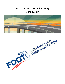# **Equal Opportunity Gateway User Guide**



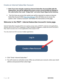## Create an Internet Subscriber Account

- ➢ **Note if you have already created an Internet Subscriber Account (ISA) with the Department, you will be adding EOG access to your current profile by clicking on the radio button that reads "Assign Role" and select Equal Opportunity Gateway.**
- $\triangleright$  The first time you access the system you will be required to create an Internet Subscriber Account (ISA) [https://isa.fdot.gov](https://isa.fdot.gov/) that will allow you to access the system. Click "create an account" and follow the instructions on the page.

#### Welcome to the FDOT - Internet Subscriber Account's home page.

Internet Subscriber Accounts (ISA's) are used to access many of FDOT's external web applications. Anyone who is not an FDOT Employee or Staff Consultant is eligible to create and use an account if they need to access one or more applications that accept an ISA.



You only need one ISA to access multiple applications.

- ➢ Click "Email- Internet Subscriber."
- ➢ You will receive an activation email. After you activate your account, enter your email address and password then select login.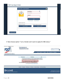| Login for Email - Internet Subscriber       |                                                                                                           | $\circ$ |
|---------------------------------------------|-----------------------------------------------------------------------------------------------------------|---------|
|                                             | 0<br>Email Address *<br>Email Address<br>Password *<br>Login<br>Change Password<br><b>Forgot Password</b> |         |
| * indicates required entry.                 |                                                                                                           |         |
| Don't have an account?<br>Create an account | Need to update your account?<br>Update my account                                                         |         |

➢ Next choose option "I am a Vendor and I want to apply for DBE status."

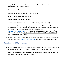$\triangleright$  Complete the access request form and submit it. Provide the following information in your access request.

**Username**: Your first and last name.

**Company Name**: Complete name of your company

**FedID**: Employer Identification number

**Contact Phone**: Your phone number

**Contact Email**: Your email (the email used to create your ISA account)

After you submit the access request, an email from your ISA account will be sent to Equal Opportunity DBE certification staff to complete your access request. If you do not receive an email regarding the EOG access, please email [dbecert.help@dot.state.fl.us](mailto:dbecert.help@dot.state.fl.us) or you can contact the DBE certification staff at (850) 414-4747 for assistance. **Access requests can only be completed during business hours Monday-Friday 8-5 PM EST.** 

➢ Once the Equal Opportunity Office staff member approves your access, close all web browsers, and return to [https://eog.fdot.gov](https://eog.fdot.gov/) Login and start your DBE application.

### Complete the DBE Application

➢ The online DBE application is a fillable form. Once you complete a tab, save your work, and select the next tab. Scroll down to view the entire form for each tab.

The DBE application will not allow you to move on if a required field is left blank. You will receive notification of incomplete fields.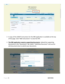| <b>DBE</b> Application<br>For assistance please email:<br>DBECert.Help@dot.state.fl.us<br>Download PDF Copy<br>DBC Instructions<br><b>Business Name</b><br>Cortification Status<br>Fed Id<br>DBE Status<br>Agency Assigned<br><b>EXAMPLE LLC</b><br>053265984<br><b>IN FROGRESS</b><br>FOOT<br><b>OBE</b><br>M.<br><b>COM</b><br>٠<br><b>Majority Owner</b><br>Financial Info<br><b>General Info</b><br>Documents<br>Control<br>Certification Info<br><b>Save Edits</b><br><b>Submit For Review</b><br><b>Return to Cert</b><br>Section 1: Certification Information - A. Basic Contact Information<br>1.A.1 Contact Person and Title<br>v. First Name<br>Middle Name<br>Last Name<br>Salutation<br>$-$ Title<br>1.A.2 Legal Name of Firm:<br><b>EXAMPLE LLC</b><br>1.A.3 Phone F.<br>1.A.4 Other Phone #:<br><b>1.A.S Fax #:</b> |  |  |  |                 |
|-----------------------------------------------------------------------------------------------------------------------------------------------------------------------------------------------------------------------------------------------------------------------------------------------------------------------------------------------------------------------------------------------------------------------------------------------------------------------------------------------------------------------------------------------------------------------------------------------------------------------------------------------------------------------------------------------------------------------------------------------------------------------------------------------------------------------------------|--|--|--|-----------------|
|                                                                                                                                                                                                                                                                                                                                                                                                                                                                                                                                                                                                                                                                                                                                                                                                                                   |  |  |  |                 |
|                                                                                                                                                                                                                                                                                                                                                                                                                                                                                                                                                                                                                                                                                                                                                                                                                                   |  |  |  |                 |
|                                                                                                                                                                                                                                                                                                                                                                                                                                                                                                                                                                                                                                                                                                                                                                                                                                   |  |  |  |                 |
|                                                                                                                                                                                                                                                                                                                                                                                                                                                                                                                                                                                                                                                                                                                                                                                                                                   |  |  |  | A<br>c          |
|                                                                                                                                                                                                                                                                                                                                                                                                                                                                                                                                                                                                                                                                                                                                                                                                                                   |  |  |  | 1 - 1 of 1 nems |
|                                                                                                                                                                                                                                                                                                                                                                                                                                                                                                                                                                                                                                                                                                                                                                                                                                   |  |  |  |                 |
|                                                                                                                                                                                                                                                                                                                                                                                                                                                                                                                                                                                                                                                                                                                                                                                                                                   |  |  |  |                 |
|                                                                                                                                                                                                                                                                                                                                                                                                                                                                                                                                                                                                                                                                                                                                                                                                                                   |  |  |  |                 |
|                                                                                                                                                                                                                                                                                                                                                                                                                                                                                                                                                                                                                                                                                                                                                                                                                                   |  |  |  |                 |
|                                                                                                                                                                                                                                                                                                                                                                                                                                                                                                                                                                                                                                                                                                                                                                                                                                   |  |  |  |                 |
|                                                                                                                                                                                                                                                                                                                                                                                                                                                                                                                                                                                                                                                                                                                                                                                                                                   |  |  |  |                 |
|                                                                                                                                                                                                                                                                                                                                                                                                                                                                                                                                                                                                                                                                                                                                                                                                                                   |  |  |  |                 |
|                                                                                                                                                                                                                                                                                                                                                                                                                                                                                                                                                                                                                                                                                                                                                                                                                                   |  |  |  |                 |
|                                                                                                                                                                                                                                                                                                                                                                                                                                                                                                                                                                                                                                                                                                                                                                                                                                   |  |  |  |                 |

- $\triangleright$  A copy of the USDOT instructions for the DBE application is available at the top of the page. Click "DBE Instructions" to view the PDF.
- ➢ **The DBE application requires supporting documents.** Upload the supporting documents in the "Documents" tab. Select "+Add New Document" and use the edit documents box to submit your documents.

|                                 |                           | Download POF Copy     | <b>OBE Immudians</b> |                                  |                         |
|---------------------------------|---------------------------|-----------------------|----------------------|----------------------------------|-------------------------|
| Fact 1d<br><b>Danimore Name</b> |                           |                       |                      | <b>Public Alassa</b>             | Argency Assigned        |
| 053200364                       | <b>Documents</b>          |                       |                      | ×.                               | a.<br><b>FDOT</b><br>×  |
| . .                             |                           | <b>Edit Documents</b> |                      |                                  | 1 - 1 of 1 Avenue       |
| Cartification Info              | Ge<br><b>Document</b>     |                       |                      | w                                | <b>Documents</b>        |
|                                 | Name                      |                       |                      | <b><i><u><u>TIPA</u></u></i></b> | <b>Return to Cert</b>   |
|                                 | Description               |                       |                      |                                  |                         |
|                                 | Type                      | Select Doc Type       |                      | ۰                                |                         |
| * Add Now Document              |                           |                       |                      |                                  |                         |
| Discussion Name                 | Soloci film<br>Directions |                       |                      | <b>Send</b>                      |                         |
|                                 |                           |                       |                      |                                  | ×<br><b>ZVince</b><br>w |
| . .<br><b>CALL CALL AND</b>     |                           | $-$ Update            | C Cancel             |                                  | <b>T. Lot 1 Harris</b>  |
|                                 | <b>Save Edits</b>         |                       |                      | <b>Submit For Raview</b>         | <b>Beturn to Cart</b>   |
| Certification Info              | General Info-             | <b>Majority Owner</b> | Control              | <b>Pinancial Info</b>            | <b>Documents</b>        |
|                                 |                           |                       |                      |                                  |                         |